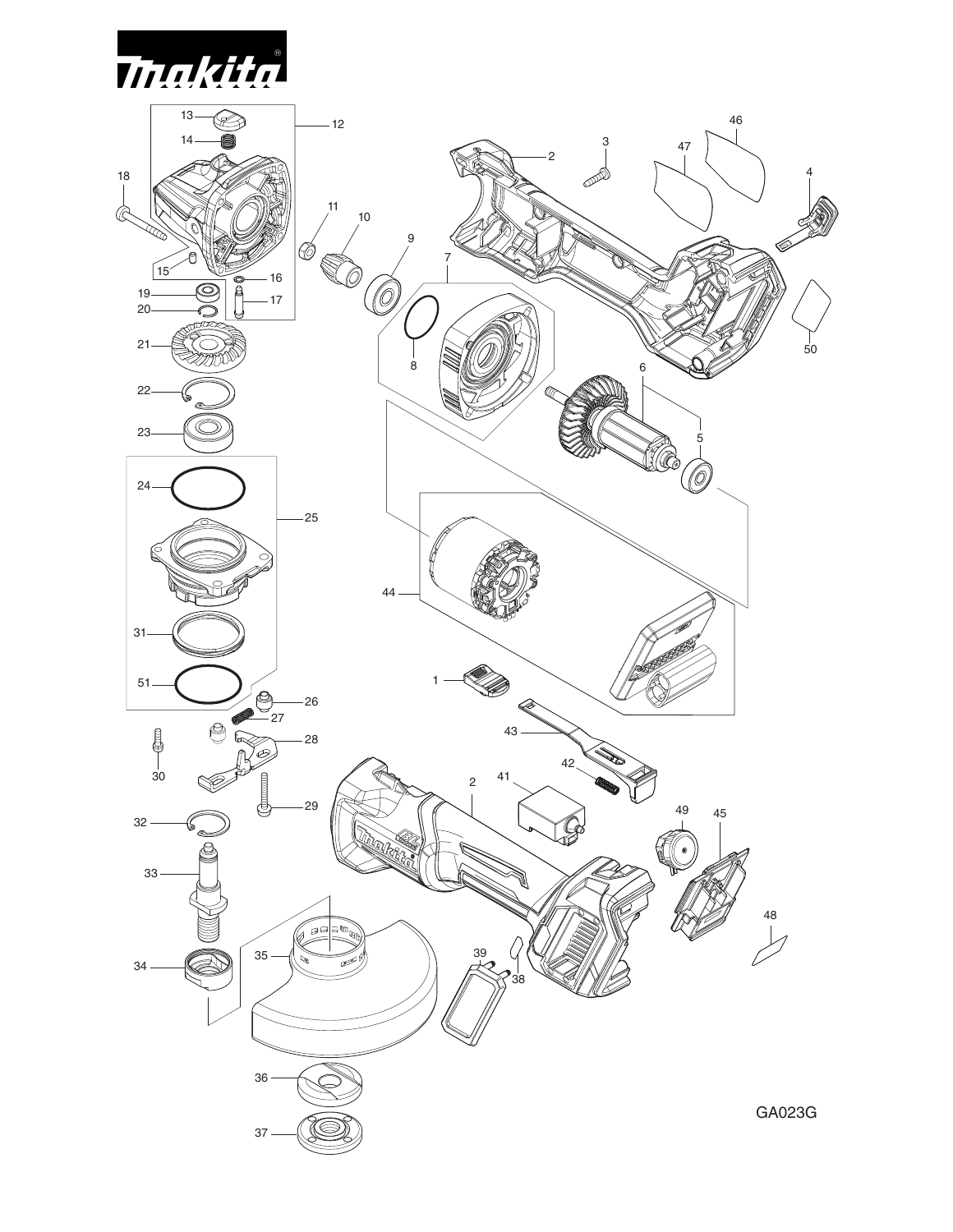

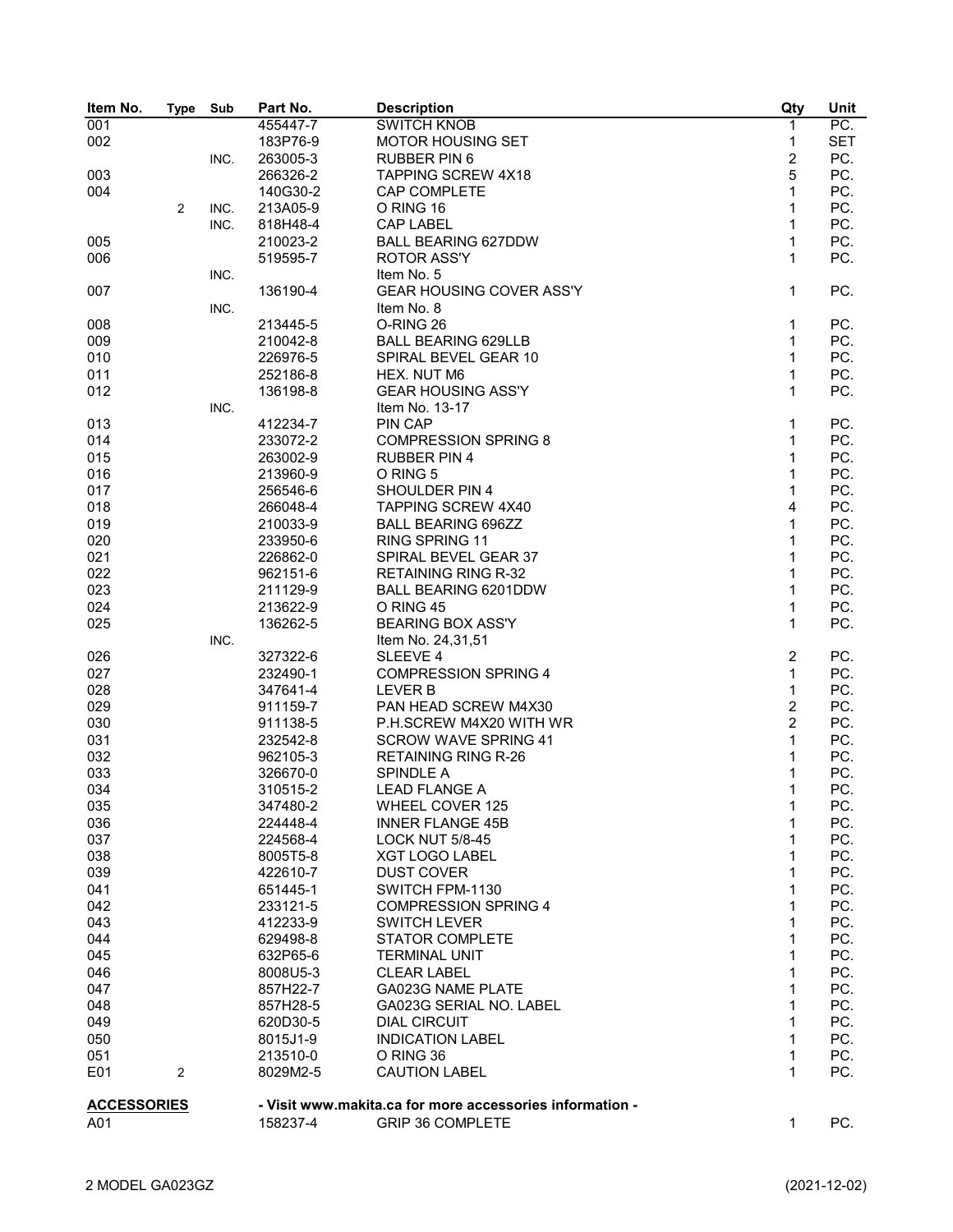| Item No.           | <b>Type</b> | Sub  | Part No. | <b>Description</b>                                       | Qty            | Unit       |
|--------------------|-------------|------|----------|----------------------------------------------------------|----------------|------------|
| 001                |             |      | 455447-7 | <b>SWITCH KNOB</b>                                       | $\mathbf{1}$   | PC.        |
| 002                |             |      | 183P76-9 | <b>MOTOR HOUSING SET</b>                                 | 1              | <b>SET</b> |
|                    |             | INC. | 263005-3 | <b>RUBBER PIN 6</b>                                      | $\overline{c}$ | PC.        |
| 003                |             |      | 266326-2 | <b>TAPPING SCREW 4X18</b>                                | 5              | PC.        |
| 004                |             |      | 140G30-2 | CAP COMPLETE                                             | 1              | PC.        |
|                    | 2           | INC. | 213A05-9 | O RING 16                                                | 1              | PC.        |
|                    |             | INC. | 818H48-4 | <b>CAP LABEL</b>                                         | $\mathbf{1}$   | PC.        |
| 005                |             |      | 210023-2 | <b>BALL BEARING 627DDW</b>                               | $\mathbf{1}$   | PC.        |
|                    |             |      |          | <b>ROTOR ASS'Y</b>                                       | $\mathbf{1}$   | PC.        |
| 006                |             |      | 519595-7 |                                                          |                |            |
|                    |             | INC. |          | Item No. 5                                               |                |            |
| 007                |             |      | 136190-4 | <b>GEAR HOUSING COVER ASS'Y</b>                          | $\mathbf{1}$   | PC.        |
|                    |             | INC. |          | Item No. 8                                               |                |            |
| 008                |             |      | 213445-5 | O-RING 26                                                | 1              | PC.        |
| 009                |             |      | 210042-8 | <b>BALL BEARING 629LLB</b>                               | $\mathbf{1}$   | PC.        |
| 010                |             |      | 226976-5 | SPIRAL BEVEL GEAR 10                                     | 1              | PC.        |
| 011                |             |      | 252186-8 | HEX. NUT M6                                              | $\mathbf{1}$   | PC.        |
| 012                |             |      | 136198-8 | <b>GEAR HOUSING ASS'Y</b>                                | 1              | PC.        |
|                    |             | INC. |          | Item No. 13-17                                           |                |            |
| 013                |             |      | 412234-7 | <b>PIN CAP</b>                                           | 1              | PC.        |
| 014                |             |      | 233072-2 | <b>COMPRESSION SPRING 8</b>                              | $\mathbf{1}$   | PC.        |
| 015                |             |      | 263002-9 | <b>RUBBER PIN 4</b>                                      | $\mathbf{1}$   | PC.        |
| 016                |             |      | 213960-9 | O RING 5                                                 | 1              | PC.        |
|                    |             |      |          |                                                          | 1              | PC.        |
| 017                |             |      | 256546-6 | SHOULDER PIN 4                                           |                |            |
| 018                |             |      | 266048-4 | <b>TAPPING SCREW 4X40</b>                                | 4              | PC.        |
| 019                |             |      | 210033-9 | <b>BALL BEARING 696ZZ</b>                                | $\mathbf{1}$   | PC.        |
| 020                |             |      | 233950-6 | RING SPRING 11                                           | $\mathbf{1}$   | PC.        |
| 021                |             |      | 226862-0 | SPIRAL BEVEL GEAR 37                                     | 1              | PC.        |
| 022                |             |      | 962151-6 | <b>RETAINING RING R-32</b>                               | $\mathbf{1}$   | PC.        |
| 023                |             |      | 211129-9 | BALL BEARING 6201DDW                                     | $\mathbf{1}$   | PC.        |
| 024                |             |      | 213622-9 | O RING 45                                                | $\mathbf{1}$   | PC.        |
| 025                |             |      | 136262-5 | <b>BEARING BOX ASS'Y</b>                                 | 1              | PC.        |
|                    |             | INC. |          | Item No. 24,31,51                                        |                |            |
| 026                |             |      | 327322-6 | SLEEVE 4                                                 | $\overline{c}$ | PC.        |
| 027                |             |      | 232490-1 | <b>COMPRESSION SPRING 4</b>                              | 1              | PC.        |
| 028                |             |      | 347641-4 | <b>LEVER B</b>                                           | $\mathbf{1}$   | PC.        |
| 029                |             |      | 911159-7 | PAN HEAD SCREW M4X30                                     | $\overline{c}$ | PC.        |
| 030                |             |      | 911138-5 | P.H.SCREW M4X20 WITH WR                                  | $\overline{c}$ | PC.        |
|                    |             |      |          |                                                          |                |            |
| 031                |             |      | 232542-8 | <b>SCROW WAVE SPRING 41</b>                              | 1              | PC.        |
| 032                |             |      | 962105-3 | <b>RETAINING RING R-26</b>                               | 1              | PC.        |
| 033                |             |      | 326670-0 | <b>SPINDLE A</b>                                         | 1              | PC.        |
| 034                |             |      | 310515-2 | <b>LEAD FLANGE A</b>                                     | 1              | PC.        |
| 035                |             |      | 347480-2 | WHEEL COVER 125                                          | 1              | PC.        |
| 036                |             |      | 224448-4 | <b>INNER FLANGE 45B</b>                                  | 1              | PC.        |
| 037                |             |      | 224568-4 | <b>LOCK NUT 5/8-45</b>                                   | 1              | PC.        |
| 038                |             |      | 8005T5-8 | XGT LOGO LABEL                                           | 1              | PC.        |
| 039                |             |      | 422610-7 | <b>DUST COVER</b>                                        | 1              | PC.        |
| 041                |             |      | 651445-1 | SWITCH FPM-1130                                          | 1              | PC.        |
| 042                |             |      | 233121-5 | <b>COMPRESSION SPRING 4</b>                              | 1              | PC.        |
| 043                |             |      | 412233-9 | <b>SWITCH LEVER</b>                                      | 1              | PC.        |
| 044                |             |      | 629498-8 | <b>STATOR COMPLETE</b>                                   | 1              | PC.        |
| 045                |             |      | 632P65-6 | <b>TERMINAL UNIT</b>                                     | 1              | PC.        |
|                    |             |      |          |                                                          | 1              |            |
| 046                |             |      | 8008U5-3 | <b>CLEAR LABEL</b>                                       |                | PC.        |
| 047                |             |      | 857H22-7 | GA023G NAME PLATE                                        | 1              | PC.        |
| 048                |             |      | 857H28-5 | GA023G SERIAL NO. LABEL                                  | 1              | PC.        |
| 049                |             |      | 620D30-5 | <b>DIAL CIRCUIT</b>                                      | 1              | PC.        |
| 050                |             |      | 8015J1-9 | <b>INDICATION LABEL</b>                                  | 1              | PC.        |
| 051                |             |      | 213510-0 | O RING 36                                                | 1              | PC.        |
| E01                | 2           |      | 8029M2-5 | <b>CAUTION LABEL</b>                                     | 1              | PC.        |
|                    |             |      |          |                                                          |                |            |
| <b>ACCESSORIES</b> |             |      |          | - Visit www.makita.ca for more accessories information - |                |            |
| A01                |             |      | 158237-4 | <b>GRIP 36 COMPLETE</b>                                  | 1              | PC.        |